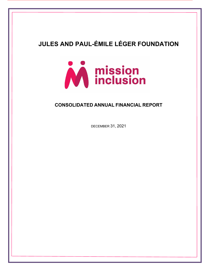

## **CONSOLIDATED ANNUAL FINANCIAL REPORT**

DECEMBER 31, 2021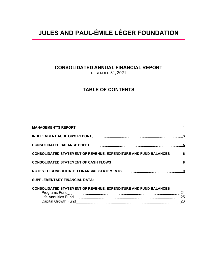## **CONSOLIDATED ANNUAL FINANCIAL REPORT**

DECEMBER 31, 2021

## **TABLE OF CONTENTS**

| <b>CONSOLIDATED STATEMENT OF REVENUE, EXPENDITURE AND FUND BALANCES 6</b> |    |
|---------------------------------------------------------------------------|----|
|                                                                           |    |
|                                                                           |    |
| <b>SUPPLEMENTARY FINANCIAL DATA:</b>                                      |    |
| <b>CONSOLIDATED STATEMENT OF REVENUE, EXPENDITURE AND FUND BALANCES</b>   | 24 |

Life Annuities Fund 25 Capital Growth Fund 26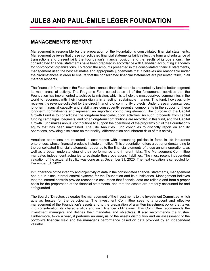## **MANAGEMENT'S REPORT**

Management is responsible for the preparation of the Foundation's consolidated financial statements. Management believes that these consolidated financial statements fairly reflect the form and substance of transactions and present fairly the Foundation's financial position and the results of its operations. The consolidated financial statements have been prepared in accordance with Canadian accounting standards for not-for-profit organizations. To record the amounts presented in the consolidated financial statements, management used the best estimates and appropriate judgements that it believes are reasonable under the circumstances in order to ensure that the consolidated financial statements are presented fairly, in all material respects.

The financial information in the Foundation's annual financial report is presented by fund to better segment its main areas of activity. The Programs Fund consolidates all of the fundamental activities that the Foundation has implemented to achieve its mission, which is to help the most deprived communities in the world to reconnect with their human dignity in a lasting, sustainable manner. This fund, however, only receives the revenue collected for the direct financing of community projects. Under these circumstances, long-term financial capacity and stability are consequently essential components in the support of these long-term commitments and represent an important contributing element. The purpose of the Capital Growth Fund is to consolidate the long-term financial-support activities. As such, proceeds from capital funding campaigns, bequests, and other long-term contributions are recorded in this fund, and the Capital Growth Fund makes annual contributions to support the operations of the programs out of the Foundation's equity that has been maintained. The Life Annuities Fund continues to distinctly report on annuity operations, providing disclosure on materiality, differentiation and inherent risks of this activity.

Annuities operations are recorded in accordance with accounting policies in force in life insurance enterprises, whose financial products include annuities. This presentation offers a better understanding to the consolidated financial statements reader as to the financial elements of these annuity operations, as well as a better understanding of their performance and inherent risks. The Management Committee mandates independent actuaries to evaluate these operations' liabilities. The most recent independent valuation of the actuarial liability was done as at December 31, 2020. The next valuation is scheduled for December 31, 2022.

In furtherance of the integrity and objectivity of data in the consolidated financial statements, management has put in place internal control systems for the Foundation and its subsidiaries. Management believes that the internal controls provide reasonable assurance that financial data are reliable and form a proper basis for the preparation of the financial statements, and that the assets are properly accounted for and safeguarded.

The Board of Directors delegates the management of the investments to the Investment Committee, which acts as trustee for the participants. The Investment Committee sees to a prudent and effective management of the Foundation's assets and to the preparation of a written investment policy that takes into consideration its characteristics and own financial obligations. This Committee recommends the investment managers and defines their mandates and objectives. It also recommends the trustee. Furthermore, twice a year, it performs an analysis of the assets distribution and an assessment of the portfolio's financial yield and the manager's performance based on data provided by an independent valuator.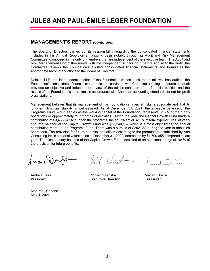### **MANAGEMENT'S REPORT** *(continued)*

The Board of Directors carries out its responsibility regarding the consolidated financial statements included in this Annual Report on an ongoing basis notably through its Audit and Risk Management Committee, composed in majority of members that are independent of the executive team. The Audit and Risk Management Committee meets with the independent auditor both before and after the audit; the Committee reviews the Foundation's audited consolidated financial statements and formulates the appropriate recommendations to the Board of Directors.

Deloitte LLP, the independent auditor of the Foundation whose audit report follows, has audited the Foundation's consolidated financial statements in accordance with Canadian auditing standards. Its audit provides an objective and independent review of the fair presentation of the financial position and the results of the Foundation's operations in accordance with Canadian accounting standards for not-for-profit organizations.

Management believes that its management of the Foundation's financial risks is adequate and that its long-term financial stability is well-assured. As at December 31, 2021, the available balance of the Programs Fund, which serves as the working capital of the Foundation, represents 31.2% of the fund's operations or approximately four months of activities. During the year, the Capital Growth Fund made a contribution of \$3,468,147 to support the programs, the equivalent of 32.6% of total expenditures. At yearend, the balance of the Capital Growth Fund was \$33,240,182 which is almost eight times the annual contribution made to the Programs Fund. There was a surplus of \$252,388 during the year in annuities operations. The provision for future benefits, actualized according to the parameters established by Aon Consulting Inc.'s actuarial valuation as at December 31, 2020, decreased by \$1,799,855 compared to last year. The discretionary balance of the Capital Growth Fund consisted of an additional hedge of 164% of the provision for future benefits.

Amdré Double

ht Vent

André Dufour Richard Veenstra Vincent Dostie **President Executive Director Arrival Executive Director Arrival Execution** 

Vincent Datie

Montreal, Canada May 4, 2022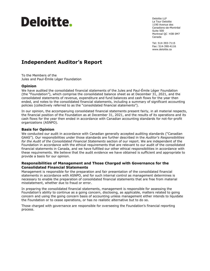# Deloitte.

Deloitte LLP La Tour Deloitte 1190 Avenue des Canadiens-de-Montréal Suite 500 Montreal QC H3B 0M7 Canada

Tel: 514-393-7115 Fax: 514-390-4116 www.deloitte.ca

## **Independent Auditor's Report**

To the Members of the Jules and Paul-Émile Léger Foundation

### **Opinion**

We have audited the consolidated financial statements of the Jules and Paul-Émile Léger Foundation (the "Foundation"), which comprise the consolidated balance sheet as at December 31, 2021, and the consolidated statements of revenue, expenditure and fund balances and cash flows for the year then ended, and notes to the consolidated financial statements, including a summary of significant accounting policies (collectively referred to as the "consolidated financial statements").

In our opinion, the accompanying consolidated financial statements present fairly, in all material respects, the financial position of the Foundation as at December 31, 2021, and the results of its operations and its cash flows for the year then ended in accordance with Canadian accounting standards for not-for-profit organizations (ASNPO).

#### **Basis for Opinion**

We conducted our audit in accordance with Canadian generally accepted auditing standards ("Canadian GAAS"). Our responsibilities under those standards are further described in the *Auditor's Responsibilities for the Audit of the Consolidated Financial Statements* section of our report. We are independent of the Foundation in accordance with the ethical requirements that are relevant to our audit of the consolidated financial statements in Canada, and we have fulfilled our other ethical responsibilities in accordance with these requirements. We believe that the audit evidence we have obtained is sufficient and appropriate to provide a basis for our opinion.

#### **Responsibilities of Management and Those Charged with Governance for the Consolidated Financial Statements**

Management is responsible for the preparation and fair presentation of the consolidated financial statements in accordance with ASNPO, and for such internal control as management determines is necessary to enable the preparation of consolidated financial statements that are free from material misstatement, whether due to fraud or error.

In preparing the consolidated financial statements, management is responsible for assessing the Foundation's ability to continue as a going concern, disclosing, as applicable, matters related to going concern and using the going concern basis of accounting unless management either intends to liquidate the Foundation or to cease operations, or has no realistic alternative but to do so.

Those charged with governance are responsible for overseeing the Foundation's financial reporting process.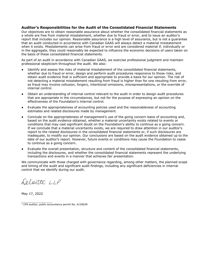#### **Auditor's Responsibilities for the Audit of the Consolidated Financial Statements**

Our objectives are to obtain reasonable assurance about whether the consolidated financial statements as a whole are free from material misstatement, whether due to fraud or error, and to issue an auditor's report that includes our opinion. Reasonable assurance is a high level of assurance, but is not a guarantee that an audit conducted in accordance with Canadian GAAS will always detect a material misstatement when it exists. Misstatements can arise from fraud or error and are considered material if, individually or in the aggregate, they could reasonably be expected to influence the economic decisions of users taken on the basis of these consolidated financial statements.

As part of an audit in accordance with Canadian GAAS, we exercise professional judgment and maintain professional skepticism throughout the audit. We also:

- Identify and assess the risks of material misstatement of the consolidated financial statements, whether due to fraud or error, design and perform audit procedures responsive to those risks, and obtain audit evidence that is sufficient and appropriate to provide a basis for our opinion. The risk of not detecting a material misstatement resulting from fraud is higher than for one resulting from error, as fraud may involve collusion, forgery, intentional omissions, misrepresentations, or the override of internal control.
- Obtain an understanding of internal control relevant to the audit in order to design audit procedures that are appropriate in the circumstances, but not for the purpose of expressing an opinion on the effectiveness of the Foundation's internal control.
- Evaluate the appropriateness of accounting policies used and the reasonableness of accounting estimates and related disclosures made by management.
- Conclude on the appropriateness of management's use of the going concern basis of accounting and, based on the audit evidence obtained, whether a material uncertainty exists related to events or conditions that may cast significant doubt on the Foundation's ability to continue as a going concern. If we conclude that a material uncertainty exists, we are required to draw attention in our auditor's report to the related disclosures in the consolidated financial statements or, if such disclosures are inadequate, to modify our opinion. Our conclusions are based on the audit evidence obtained up to the date of our auditor's report. However, future events or conditions may cause the Foundation to cease to continue as a going concern.
- Evaluate the overall presentation, structure and content of the consolidated financial statements, including the disclosures, and whether the consolidated financial statements represent the underlying transactions and events in a manner that achieves fair presentation.

We communicate with those charged with governance regarding, among other matters, the planned scope and timing of the audit and significant audit findings, including any significant deficiencies in internal control that we identify during our audit.

Deloitte LLP

May 17, 2022

 $\mathcal{L}=\{L_1,\ldots,L_n\}$  , we can also the set of the set of the set of the set of the set of the set of the set of the set of the set of the set of the set of the set of the set of the set of the set of the set of the set of <sup>1</sup> CPA auditor, public accountancy permit No. A120628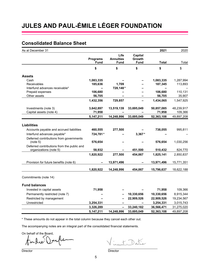## **Consolidated Balance Sheet**

| As at December 31                          |                 |                          |             | 2021         | 2020       |
|--------------------------------------------|-----------------|--------------------------|-------------|--------------|------------|
|                                            |                 | Life                     | Capital     |              |            |
|                                            | <b>Programs</b> | <b>Annuities</b>         | Growth      |              |            |
|                                            | <b>Fund</b>     | <b>Fund</b>              | <b>Fund</b> | <b>Total</b> | Total      |
|                                            | \$              | \$                       | \$          | \$           | \$         |
| <b>Assets</b>                              |                 |                          |             |              |            |
| Cash                                       | 1,083,335       |                          |             | 1,083,335    | 1,287,994  |
| Receivables                                | 185,636         | 1,709                    |             | 187,345      | 113,893    |
| Interfund advances receivable*             |                 | 728,148*                 |             |              |            |
| Prepaid expenses                           | 106,680         |                          |             | 106,680      | 110,131    |
| Other assets                               | 56,705          |                          |             | 56,705       | 35,907     |
|                                            | 1,432,356       | 729,857                  |             | 1,434,065    | 1,547,925  |
| Investments (note 3)                       | 3,642,897       | 13,519,139               | 33,695,049  | 50,857,085   | 48,239,917 |
| Capital assets (note 4)                    | 71,958          |                          |             | 71,958       | 109,366    |
|                                            | 5, 147, 211     | 14,248,996               | 33,695,049  | 52,363,108   | 49,897,208 |
|                                            |                 |                          |             |              |            |
| <b>Liabilities</b>                         |                 |                          |             |              |            |
| Accounts payable and accrued liabilities   | 460,555         | 277,500                  |             | 738,055      | 995,811    |
| Interfund advances payable*                | 724,781*        |                          | 3,367*      |              |            |
| Deferred contributions from governments    |                 |                          |             |              |            |
| (note 5)                                   | 576,654         |                          |             | 576,654      | 1,030,256  |
| Deferred contributions from the public and |                 |                          |             |              |            |
| organizations (note 5)                     | 58,932          |                          | 451,500     | 510,432      | 824,770    |
|                                            | 1,820,922       | 277,500                  | 454,867     | 1,825,141    | 2,850,837  |
| Provision for future benefits (note 6)     |                 | 13,971,496               |             | 13,971,496   | 15,771,351 |
|                                            | 1,820,922       | 14,248,996               | 454,867     | 15,796,637   | 18,622,188 |
| Commitments (note 14)                      |                 |                          |             |              |            |
| <b>Fund balances</b>                       |                 |                          |             |              |            |
| Invested in capital assets                 | 71,958          |                          |             | 71,958       | 109,366    |
| Permanently restricted (note 7)            |                 |                          | 10,330,656  | 10,330,656   | 8,915,344  |
| Restricted by management                   |                 |                          | 22,909,526  | 22,909,526   | 19,234,567 |
| Unrestricted                               | 3,254,331       |                          |             | 3,254,331    | 3,015,743  |
|                                            | 3,326,289       | $\overline{\phantom{0}}$ | 33,240,182  | 36,566,471   | 31,275,020 |
|                                            | 5,147,211       | 14,248,996               | 33,695,049  | 52,363,108   | 49,897,208 |
|                                            |                 |                          |             |              |            |

\* These amounts do not appear in the total column because they cancel each other out.

The accompanying notes are an integral part of the consolidated financial statements.

On behalf of the Board,<br>for lee Doufle

incent Datie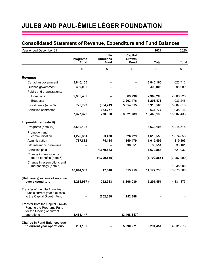## **Consolidated Statement of Revenue, Expenditure and Fund Balances**

| Year ended December 31                                         |                 |                  |               | 2021         | 2020        |
|----------------------------------------------------------------|-----------------|------------------|---------------|--------------|-------------|
|                                                                |                 | Life             | Capital       |              |             |
|                                                                | <b>Programs</b> | <b>Annuities</b> | <b>Growth</b> |              |             |
|                                                                | <b>Fund</b>     | <b>Fund</b>      | <b>Fund</b>   | <b>Total</b> | Total       |
|                                                                | \$              | \$               | \$            | \$           | \$          |
| <b>Revenue</b>                                                 |                 |                  |               |              |             |
| Canadian government                                            | 3,846,165       |                  |               | 3,846,165    | 4,623,713   |
| Québec government                                              | 499,006         |                  |               | 499,006      | 98,989      |
| Public and organizations:                                      |                 |                  |               |              |             |
| Donations                                                      | 2,305,402       |                  | 63,798        | 2,369,200    | 2,006,226   |
| <b>Bequests</b>                                                |                 |                  | 3,203,476     | 3,203,476    | 1,933,246   |
| Investments (note 8)                                           | 726,799         | (364, 749)       | 5,554,515     | 5,916,565    | 5,607,013   |
| Annuities contracted                                           |                 | 634,777          |               | 634,777      | 938,246     |
|                                                                | 7,377,372       | 270,028          | 8,821,789     | 16,469,189   | 15,207,433  |
|                                                                |                 |                  |               |              |             |
| <b>Expenditure (note 9)</b>                                    |                 |                  |               |              |             |
| Programs (note 10)                                             | 8,630,106       |                  |               | 8,630,106    | 8,245,515   |
| Promotion and                                                  |                 |                  |               |              |             |
| communication                                                  | 1,226,351       | 63,478           | 326,729       | 1,616,558    | 1,674,856   |
| Administration                                                 | 787,882         | 74,134           | 150,479       | 1,012,495    | 1,119,395   |
| Life insurance premiums                                        |                 |                  | 38,551        | 38,551       | 33,161      |
| Annuities paid                                                 |                 | 1,679,883        |               | 1,679,883    | 1,821,932   |
| Change in provision for                                        |                 |                  |               |              |             |
| future benefits (note 6)                                       |                 | (1,799,855)      |               | (1,799,855)  | (3,257,299) |
| Change in assumptions and                                      |                 |                  |               |              |             |
| methodology (note 6)                                           | 10,644,339      | 17,640           | 515,759       | 11,177,738   | 1,238,000   |
|                                                                |                 |                  |               |              | 10,875,560  |
| (Deficiency) excess of revenue                                 |                 |                  |               |              |             |
| over expenditure                                               | (3, 266, 967)   | 252,388          | 8,306,030     | 5,291,451    | 4,331,873   |
|                                                                |                 |                  |               |              |             |
| Transfer of the Life Annuities<br>Fund's current year's excess |                 |                  |               |              |             |
| to the Capital Growth Fund                                     |                 | (252, 388)       | 252,388       |              |             |
|                                                                |                 |                  |               |              |             |
| Transfer from the Capital Growth                               |                 |                  |               |              |             |
| Fund to the Programs Fund                                      |                 |                  |               |              |             |
| for the funding of current<br>operations                       | 3,468,147       |                  | (3,468,147)   |              |             |
|                                                                |                 |                  |               |              |             |
| <b>Change in Fund Balances due</b>                             |                 |                  |               |              |             |
| to current year operations                                     | 201,180         |                  | 5,090,271     | 5,291,451    | 4,331,873   |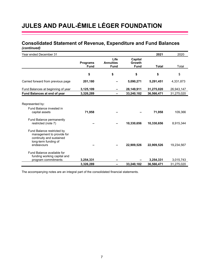### **Consolidated Statement of Revenue, Expenditure and Fund Balances**  *(continued)*

| Year ended December 31                                                                                                    |                                |                                         |                                         | 2021                    | 2020                    |
|---------------------------------------------------------------------------------------------------------------------------|--------------------------------|-----------------------------------------|-----------------------------------------|-------------------------|-------------------------|
|                                                                                                                           | <b>Programs</b><br><b>Fund</b> | Life<br><b>Annuities</b><br><b>Fund</b> | Capital<br><b>Growth</b><br><b>Fund</b> | <b>Total</b>            | Total                   |
|                                                                                                                           | \$                             | \$                                      | \$                                      | \$                      | \$                      |
| Carried forward from previous page                                                                                        | 201,180                        |                                         | 5,090,271                               | 5,291,451               | 4,331,873               |
| Fund Balances at beginning of year                                                                                        | 3,125,109                      |                                         | 28,149,911                              | 31,275,020              | 26,943,147              |
| Fund Balances at end of year                                                                                              | 3,326,289                      |                                         | 33,240,182                              | 36,566,471              | 31,275,020              |
| Represented by:<br>Fund Balance invested in<br>capital assets                                                             | 71,958                         |                                         |                                         | 71,958                  | 109,366                 |
| Fund Balance permanently<br>restricted (note 7)                                                                           |                                |                                         | 10,330,656                              | 10,330,656              | 8,915,344               |
| Fund Balance restricted by<br>management to provide for<br>continuity and sustained<br>long-term funding of<br>endeavours |                                |                                         | 22,909,526                              | 22,909,526              | 19,234,567              |
| Fund Balance available for<br>funding working capital and<br>program commitments                                          | 3,254,331<br>3,326,289         |                                         | 33,240,182                              | 3,254,331<br>36,566,471 | 3,015,743<br>31,275,020 |

The accompanying notes are an integral part of the consolidated financial statements.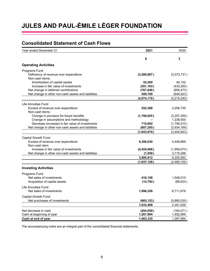## **Consolidated Statement of Cash Flows**

| Year ended December 31                              | 2021        | 2020        |
|-----------------------------------------------------|-------------|-------------|
|                                                     | \$          | \$          |
| <b>Operating Activities</b>                         |             |             |
| Programs Fund                                       |             |             |
| Deficiency of revenue over expenditure              | (3,266,967) | (3,373,731) |
| Non-cash items:                                     |             |             |
| Amortization of capital assets                      | 52,200      | 45,152      |
| Increase in fair value of investments               | (551, 163)  | (433, 265)  |
| Net change in deferred contributions                | (767, 940)  | (806, 473)  |
| Net change in other non-cash assets and liabilities | 459,700     | (646, 923)  |
|                                                     | (4,074,170) | (5,215,240) |
| Life Annuities Fund                                 |             |             |
| Excess of revenue over expenditure                  | 252,388     | 3,256,735   |
| Non-cash items:                                     |             |             |
| Change in provision for future benefits             | (1,799,855) | (3,257,299) |
| Change in assumptions and methodology               |             | 1,238,000   |
| Decrease (increase) in fair value of investments    | 710,802     | (1,758,210) |
| Net change in other non-cash assets and liabilities | (807, 205)  | (2,934,169) |
|                                                     | (1,643,870) | (3,454,943) |
| Capital Growth Fund                                 |             |             |
| Excess of revenue over expenditure                  | 8,306,030   | 4,448,869   |
| Non-cash item:                                      |             |             |
| Increase in fair value of investments               | (4,424,068) | (1,959,074) |
| Net change in other non-cash assets and liabilities | (1,050)     | 3,715,288   |
|                                                     | 3,880,912   | 6,205,083   |
|                                                     | (1,837,128) | (2,465,100) |
| <b>Investing Activities</b>                         |             |             |
| Programs Fund                                       |             |             |
| Net sales of investments                            | 416,156     | 1,548,010   |
| Acquisition of capital assets                       | (14, 792)   | (68, 624)   |
| <b>Life Annuities Fund</b>                          |             |             |
| Net sales of investments                            | 1,896,258   | 6,711,678   |
| Capital Growth Fund                                 |             |             |
| Net purchases of investments                        | (665, 153)  | (5,890,035) |
|                                                     | 1,632,469   | 2,301,029   |
| Net decrease in cash                                | (204, 659)  | (164, 071)  |
| Cash at beginning of year                           | 1,287,994   | 1,452,065   |
| Cash at end of year                                 | 1,083,335   | 1,287,994   |

The accompanying notes are an integral part of the consolidated financial statements.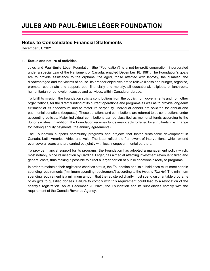## **Notes to Consolidated Financial Statements**

December 31, 2021

### **1. Status and nature of activities**

Jules and Paul-Émile Léger Foundation (the "Foundation") is a not-for-profit corporation, incorporated under a special Law of the Parliament of Canada, enacted December 18, 1981. The Foundation's goals are to provide assistance to the orphans, the aged, those affected with leprosy, the disabled, the disadvantaged and the victims of abuse. Its broader objectives are to relieve illness and hunger, organize, promote, coordinate and support, both financially and morally, all educational, religious, philanthropic, humanitarian or benevolent causes and activities, within Canada or abroad.

To fulfill its mission, the Foundation solicits contributions from the public, from governments and from other organizations, for the direct funding of its current operations and programs as well as to provide long-term fulfilment of its endeavours and to foster its perpetuity. Individual donors are solicited for annual and patrimonial donations (bequests). These donations and contributions are referred to as contributions under accounting policies. Major individual contributions can be classified as memorial funds according to the donor's wishes. In addition, the Foundation receives funds irrevocably forfeited by annuitants in exchange for lifelong annuity payments (the annuity agreements).

The Foundation supports community programs and projects that foster sustainable development in Canada, Latin America, Africa and Asia. The latter reflect the framework of interventions, which extend over several years and are carried out jointly with local nongovernmental partners.

To provide financial support for its programs, the Foundation has adopted a management policy which, most notably, since its inception by Cardinal Léger, has aimed at affecting investment revenue to fixed and general costs, thus making it possible to direct a larger portion of public donations directly to programs.

In order to maintain their registered charities status, the Foundation and its subsidiaries must meet certain spending requirements ("minimum spending requirement") according to the *Income Tax Act*. The minimum spending requirement is a minimum amount that the registered charity must spend on charitable programs or as gifts to qualified donees. Failure to comply with this requirement could lead to a revocation of the charity's registration. As at December 31, 2021, the Foundation and its subsidiaries comply with the requirement of the Canada Revenue Agency.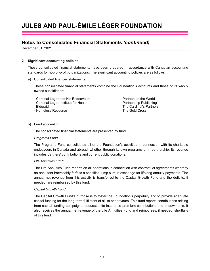## **Notes to Consolidated Financial Statements** *(continued)*

December 31, 2021

#### **2. Significant accounting policies**

These consolidated financial statements have been prepared in accordance with Canadian accounting standards for not-for-profit organizations. The significant accounting policies are as follows:

a) Consolidated financial statements

These consolidated financial statements combine the Foundation's accounts and those of its wholly owned subsidiaries:

- Cardinal Léger and His Endeavours  **Partners of the World**
- Cardinal Léger Institute for Health Partnership Publishing
- 
- Homeless Recourse  **The Gold Cross**

- 
- Elderaid The Cardinal's Partners
	-

#### b) Fund accounting

The consolidated financial statements are presented by fund.

#### *Programs Fund*

The Programs Fund consolidates all of the Foundation's activities in connection with its charitable endeavours in Canada and abroad, whether through its own programs or in partnership. Its revenue includes partners' contributions and current public donations.

#### *Life Annuities Fund*

The Life Annuities Fund reports on all operations in connection with contractual agreements whereby an annuitant irrevocably forfeits a specified lump sum in exchange for lifelong annuity payments. The annual net revenue from this activity is transferred to the Capital Growth Fund and the deficits, if needed, are reimbursed by this fund.

#### *Capital Growth Fund*

The Capital Growth Fund's purpose is to foster the Foundation's perpetuity and to provide adequate capital funding for the long-term fulfilment of all its endeavours. This fund reports contributions arising from capital funding campaigns, bequests, life insurance premium contributions and endowments. It also receives the annual net revenue of the Life Annuities Fund and reimburses, if needed, shortfalls of this fund.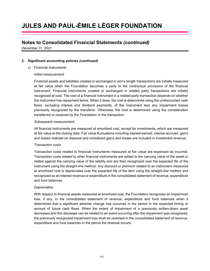## **Notes to Consolidated Financial Statements** *(continued)*

December 31, 2021

### **2. Significant accounting policies** *(continued)*

c) Financial instruments

#### *Initial measurement*

Financial assets and liabilities created or exchanged in arm's length transactions are initially measured at fair value when the Foundation becomes a party to the contractual provisions of the financial instrument. Financial instruments created or exchanged in related party transactions are initially recognized at cost. The cost of a financial instrument in a related party transaction depends on whether the instrument has repayment terms. When it does, the cost is determined using the undiscounted cash flows, excluding interest and dividend payments, of the instrument less any impairment losses previously recognized by the transferor. Otherwise, the cost is determined using the consideration transferred or received by the Foundation in the transaction.

#### *Subsequent measurement*

All financial instruments are measured at amortized cost, except for investments, which are measured at fair value at the closing date. Fair value fluctuations including interest earned, interest accrued, gains and losses realized on disposal and unrealized gains and losses are included in investment revenue.

### *Transaction costs*

Transaction costs related to financial instruments measured at fair value are expensed as incurred. Transaction costs related to other financial instruments are added to the carrying value of the asset or netted against the carrying value of the liability and are then recognized over the expected life of the instrument using the straight-line method. Any discount or premium related to an instrument measured at amortized cost is depreciated over the expected life of the item using the straight-line method and recognized as an interest revenue or expenditure in the consolidated statement of revenue, expenditure and fund balances.

#### *Depreciation*

With respect to financial assets measured at amortized cost, the Foundation recognizes an impairment loss, if any, in the consolidated statement of revenue, expenditure and fund balances when it determines that a significant adverse change has occurred in the period in the expected timing or amount of future cash flows. When the extent of impairment of a previously written-down asset decreases and this decrease can be related to an event occurring after the impairment was recognized, the previously recognized impairment loss shall be reversed in the consolidated statement of revenue, expenditure and fund balances in the period the reversal occurs.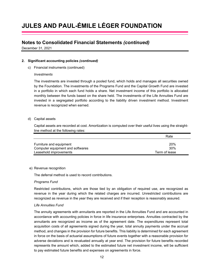## **Notes to Consolidated Financial Statements** *(continued)*

December 31, 2021

### **2. Significant accounting policies** *(continued)*

c) Financial instruments (continued)

#### *Investments*

The investments are invested through a pooled fund, which holds and manages all securities owned by the Foundation. The investments of the Programs Fund and the Capital Growth Fund are invested in a portfolio in which each fund holds a share. Net investment income of this portfolio is allocated monthly between the funds based on the share held. The investments of the Life Annuities Fund are invested in a segregated portfolio according to the liability driven investment method. Investment revenue is recognized when earned.

#### d) Capital assets

Capital assets are recorded at cost. Amortization is computed over their useful lives using the straightline method at the following rates:

|                                  | Rate            |
|----------------------------------|-----------------|
|                                  |                 |
| Furniture and equipment          | 20%             |
| Computer equipment and softwares | 30 <sup>%</sup> |
| Leasehold improvements           | Term of lease   |

#### e) Revenue recognition

The deferral method is used to record contributions.

### *Programs Fund*

Restricted contributions, which are those tied by an obligation of required use, are recognized as revenue in the year during which the related charges are incurred. Unrestricted contributions are recognized as revenue in the year they are received and if their reception is reasonably assured.

### *Life Annuities Fund*

The annuity agreements with annuitants are reported in the Life Annuities Fund and are accounted in accordance with accounting policies in force in life insurance enterprises. Annuities contracted by the annuitants are recognized as income as of the agreement date. The expenditures represent total acquisition costs of all agreements signed during the year, total annuity payments under the accrual method, and changes in the provision for future benefits. This liability is determined for each agreement in force on the basis of actuarial assumptions of future events together with a reasonable provision for adverse deviations and is revaluated annually at year end. The provision for future benefits recorded represents the amount which, added to the estimated future net investment income, will be sufficient to pay estimated future benefits and expenses on agreements in force.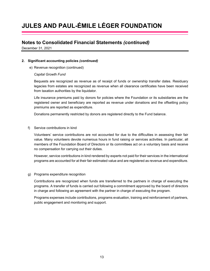## **Notes to Consolidated Financial Statements** *(continued)*

December 31, 2021

### **2. Significant accounting policies** *(continued)*

e) Revenue recognition (continued)

### *Capital Growth Fund*

Bequests are recognized as revenue as of receipt of funds or ownership transfer dates. Residuary legacies from estates are recognized as revenue when all clearance certificates have been received from taxation authorities by the liquidator.

Life insurance premiums paid by donors for policies where the Foundation or its subsidiaries are the registered owner and beneficiary are reported as revenue under donations and the offsetting policy premiums are reported as expenditure.

Donations permanently restricted by donors are registered directly to the Fund balance.

### f) Service contributions in kind

Volunteers' service contributions are not accounted for due to the difficulties in assessing their fair value. Many volunteers devote numerous hours in fund raising or services activities. In particular, all members of the Foundation Board of Directors or its committees act on a voluntary basis and receive no compensation for carrying out their duties.

However, service contributions in kind rendered by experts not paid for their services in the international programs are accounted for at their fair estimated value and are registered as revenue and expenditure.

### g) Programs expenditure recognition

Contributions are recognized when funds are transferred to the partners in charge of executing the programs. A transfer of funds is carried out following a commitment approved by the board of directors in charge and following an agreement with the partner in charge of executing the program.

Programs expenses include contributions, programs evaluation, training and reinforcement of partners, public engagement and monitoring and support.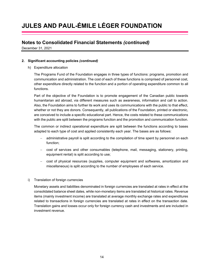## **Notes to Consolidated Financial Statements** *(continued)*

December 31, 2021

### **2. Significant accounting policies** *(continued)*

h) Expenditure allocation

The Programs Fund of the Foundation engages in three types of functions: programs, promotion and communication and administration. The cost of each of these functions is comprised of personnel cost, other expenditure directly related to the function and a portion of operating expenditure common to all functions.

Part of the objective of the Foundation is to promote engagement of the Canadian public towards humanitarian aid abroad, via different measures such as awareness, information and call to action. Also, the Foundation aims to further its work and uses its communications with the public to that effect, whether or not they are donors. Consequently, all publications of the Foundation, printed or electronic, are conceived to include a specific educational part. Hence, the costs related to these communications with the public are split between the programs function and the promotion and communication function.

The common or indirect operational expenditure are split between the functions according to bases adapted to each type of cost and applied consistently each year. The bases are as follows:

- administrative payroll is split according to the compilation of time spent by personnel on each function;
- cost of services and other consumables (telephone, mail, messaging, stationery, printing, equipment rental) is split according to use;
- cost of physical resources (supplies, computer equipment and softwares, amortization and miscellaneous) is split according to the number of employees of each service.
- i) Translation of foreign currencies

Monetary assets and liabilities denominated in foreign currencies are translated at rates in effect at the consolidated balance sheet dates, while non-monetary items are translated at historical rates. Revenue items (mainly investment income) are translated at average monthly exchange rates and expenditures related to transactions in foreign currencies are translated at rates in effect on the transaction date. Translation gains and losses occur only for foreign currency cash and investments and are included in investment revenue.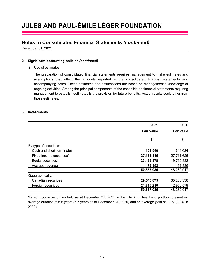## **Notes to Consolidated Financial Statements** *(continued)*

December 31, 2021

### **2. Significant accounting policies** *(continued)*

### j) Use of estimates

The preparation of consolidated financial statements requires management to make estimates and assumptions that affect the amounts reported in the consolidated financial statements and accompanying notes. These estimates and assumptions are based on management's knowledge of ongoing activities. Among the principal components of the consolidated financial statements requiring management to establish estimates is the provision for future benefits. Actual results could differ from those estimates.

### **3. Investments**

|                           | 2021              | 2020       |
|---------------------------|-------------------|------------|
|                           | <b>Fair value</b> | Fair value |
|                           | \$                | \$         |
| By type of securities:    |                   |            |
| Cash and short-term notes | 152,540           | 644,624    |
| Fixed income securities*  | 27, 185, 815      | 27,711,625 |
| Equity securities         | 23,439,378        | 19,790,832 |
| Accrued revenue           | 79,352            | 92,836     |
|                           | 50,857,085        | 48,239,917 |
| Geographically:           |                   |            |
| Canadian securities       | 29,540,875        | 35,283,338 |
| Foreign securities        | 21,316,210        | 12,956,579 |
|                           | 50,857,085        | 48,239,917 |

\*Fixed income securities held as at December 31, 2021 in the Life Annuities Fund portfolio present an average duration of 6.6 years (6.7 years as at December 31, 2020) and an average yield of 1.9% (1.2% in 2020).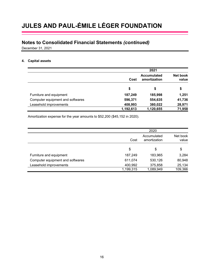## **Notes to Consolidated Financial Statements** *(continued)*

December 31, 2021

### **4. Capital assets**

|                                  | 2021                                       |           |                          |
|----------------------------------|--------------------------------------------|-----------|--------------------------|
|                                  | <b>Accumulated</b><br>amortization<br>Cost |           | <b>Net book</b><br>value |
|                                  | \$                                         | \$        | \$                       |
| Furniture and equipment          | 187,249                                    | 185,998   | 1,251                    |
| Computer equipment and softwares | 596,371                                    | 554,635   | 41,736                   |
| Leasehold improvements           | 408,993                                    | 380,022   | 28,971                   |
|                                  | 1,192,613                                  | 1,120,655 | 71,958                   |

Amortization expense for the year amounts to \$52,200 (\$45,152 in 2020).

|                                  |           | 2020                        |                   |
|----------------------------------|-----------|-----------------------------|-------------------|
|                                  | Cost      | Accumulated<br>amortization | Net book<br>value |
|                                  | \$        | \$                          | \$                |
| Furniture and equipment          | 187,249   | 183,965                     | 3,284             |
| Computer equipment and softwares | 611,074   | 530,126                     | 80,948            |
| Leasehold improvements           | 400,992   | 375,858                     | 25,134            |
|                                  | 1,199,315 | 1,089,949                   | 109,366           |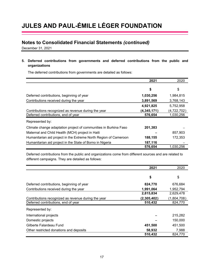## **Notes to Consolidated Financial Statements** *(continued)*

December 31, 2021

**5. Deferred contributions from governments and deferred contributions from the public and organizations** 

The deferred contributions from governments are detailed as follows:

|                                                                  | 2021          | 2020        |
|------------------------------------------------------------------|---------------|-------------|
|                                                                  | \$            | \$          |
| Deferred contributions, beginning of year                        | 1,030,256     | 1,984,815   |
| Contributions received during the year                           | 3,891,569     | 3,768,143   |
|                                                                  | 4,921,825     | 5,752,958   |
| Contributions recognized as revenue during the year              | (4, 345, 171) | (4,722,702) |
| Deferred contributions, end of year                              | 576,654       | 1,030,256   |
| Represented by:                                                  |               |             |
| Climate change adaptation project of communities in Burkina Faso | 201,383       |             |
| Maternal and Child Health (MCH) project in Haiti                 |               | 857,903     |
| Humanitarian aid project in the Extreme North Region of Cameroon | 188,155       | 172,353     |
| Humanitarian aid project in the State of Borno in Nigeria        | 187,116       |             |
|                                                                  | 576,654       | 1.030.256   |

Deferred contributions from the public and organizations come from different sources and are related to different campaigns. They are detailed as follows:

|                                                     | 2021        | 2020        |
|-----------------------------------------------------|-------------|-------------|
|                                                     |             |             |
|                                                     | \$          | \$          |
| Deferred contributions, beginning of year           | 824,770     | 676,684     |
| Contributions received during the year              | 1,991,064   | 1,952,794   |
|                                                     | 2,815,834   | 2,629,478   |
| Contributions recognized as revenue during the year | (2,305,402) | (1,804,708) |
| Deferred contributions, end of year                 | 510,432     | 824,770     |
| Represented by:                                     |             |             |
| International projects                              |             | 215,282     |
| Domestic projects                                   |             | 150,000     |
| Gilberte Falardeau Fund                             | 451,500     | 451,500     |
| Other restricted donations and deposits             | 58,932      | 7,988       |
|                                                     | 510,432     | 824,770     |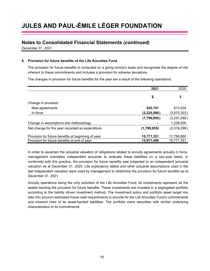## **Notes to Consolidated Financial Statements** *(continued)*

December 31, 2021

### **6. Provision for future benefits of the Life Annuities Fund**

The provision for future benefits is computed on a going concern basis and recognizes the degree of risk inherent to these commitments and includes a provision for adverse deviations.

The changes in provision for future benefits for the year are a result of the following operations:

|                                                    | 2021        | 2020        |
|----------------------------------------------------|-------------|-------------|
|                                                    | \$          | \$          |
| Change in provision:                               |             |             |
| New agreements                                     | 425,151     | 613,004     |
| In force                                           | (2,225,006) | (3,870,303) |
|                                                    | (1,799,855) | (3,257,299) |
| Change in assumptions and methodology              |             | 1,238,000   |
| Net change for the year recorded as expenditure    | (1,799,855) | (2,019,299) |
| Provision for future benefits at beginning of year | 15,771,351  | 17,790,650  |
| Provision for future benefits at end of year       | 13,971,496  | 15,771,351  |

In order to ascertain the actuarial valuation of obligations related to annuity agreements actually in force, management mandates independent actuaries to evaluate these liabilities on a two-year basis. In conformity with this practice, the provision for future benefits was subjected to an independent actuarial valuation as at December 31, 2020. Life expectancy tables and other actuarial assumptions used in the last independent valuation were used by management to determine the provision for future benefits as at December 31, 2021.

Annuity operations being the only activities of the Life Annuities Fund, its investments represent all the assets backing the provision for future benefits. These investments are invested in a segregated portfolio according to the liability driven investment method. The investment policy and portfolio asset target mix take into account estimated future cash requirements to provide for the Life Annuities Fund's commitments and inherent risks of its asset-backed liabilities. The portfolio owns securities with similar underlying characteristics to its commitments.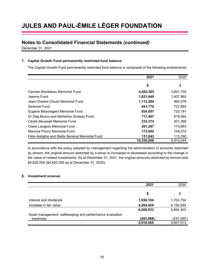## **Notes to Consolidated Financial Statements** *(continued)*

December 31, 2021

### **7. Capital Growth Fund permanently restricted fund balance**

The Capital Growth Fund permanently restricted fund balance is composed of the following endowments:

|                                                | 2021       | 2020      |
|------------------------------------------------|------------|-----------|
|                                                | \$         | \$        |
| Carmen Bordeleau Memorial Fund                 | 4,452,363  | 3,841,705 |
| Jeanne Fund                                    | 1,631,649  | 1,407,862 |
| Jean-Charles Clouet Memorial Fund              | 1,113,264  | 960,576   |
| Serkmet Fund                                   | 841,770    | 727,893   |
| Eugène Beauregard Memorial Fund                | 834,657    | 720,181   |
| Dr Dag Munro and Micheline Groleau Fund        | 717,467    | 619,064   |
| Cécile Moussali Memorial Fund                  | 233,374    | 201,366   |
| Claire Langlois Memorial Fund                  | 201,267    | 173,663   |
| <b>Maurice Picory Memorial Fund</b>            | 173,002    | 149,274   |
| Félix-Adolphe and Stella Senécal Memorial Fund | 131,843    | 113,760   |
|                                                | 10,330,656 | 8,915,344 |

In accordance with the policy adopted by management regarding the administration of amounts restricted by donors, the original amount restricted by a donor is increased or decreased according to the change in fair value of related investments. As at December 31, 2021, the original amounts restricted by donors total \$4,620,005 (\$4,620,005 as at December 31, 2020).

### **8. Investment revenue**

|                                                          | 2021       | 2020       |
|----------------------------------------------------------|------------|------------|
|                                                          |            |            |
|                                                          | \$         | \$         |
| Interest and dividends                                   | 1,936,104  | 1,703,754  |
| Increase in fair value                                   | 4,264,429  | 4,150,549  |
|                                                          | 6,200,533  | 5,854,303  |
| Asset management, safekeeping and performance evaluation |            |            |
| expenses                                                 | (283, 968) | (247, 290) |
|                                                          | 5,916,565  | 5,607,013  |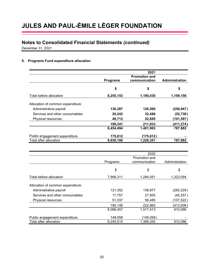## **Notes to Consolidated Financial Statements** *(continued)*

December 31, 2021

### **9. Programs Fund expenditure allocation**

|                                   |                 | 2021                                  |                       |
|-----------------------------------|-----------------|---------------------------------------|-----------------------|
|                                   | <b>Programs</b> | <b>Promotion and</b><br>communication | <b>Administration</b> |
|                                   | \$              | \$                                    | \$                    |
| Total before allocation           | 8,255,153       | 1,190,030                             | 1,199,156             |
| Allocation of common expenditure: |                 |                                       |                       |
| Administrative payroll            | 130,387         | 126,560                               | (256, 947)            |
| Services and other consumables    | 20,242          | 32,488                                | (52, 730)             |
| Physical resources                | 48,712          | 52,885                                | (101,597)             |
|                                   | 199,341         | 211,933                               | (411,274)             |
|                                   | 8,454,494       | 1,401,963                             | 787,882               |
| Public engagement expenditure     | 175,612         | (175, 612)                            |                       |
| Total after allocation            | 8,630,106       | 1,226,351                             | 787,882               |

|                                   |           | 2020          |                |
|-----------------------------------|-----------|---------------|----------------|
|                                   |           | Promotion and |                |
|                                   | Programs  | communication | Administration |
|                                   |           |               |                |
|                                   | \$        | \$            | \$             |
| Total before allocation           | 7,906,311 | 1,294,551     | 1,323,094      |
| Allocation of common expenditure: |           |               |                |
| Administrative payroll            | 121,352   | 138,877       | (260, 229)     |
| Services and other consumables    | 17,757    | 27,500        | (45, 257)      |
| Physical resources                | 51,037    | 56,485        | (107, 522)     |
|                                   | 190,146   | 222,862       | (413,008)      |
|                                   | 8,096,457 | 1,517,413     | 910,086        |
| Public engagement expenditure     | 149,058   | (149, 058)    |                |
| Total after allocation            | 8,245,515 | 1,368,355     | 910,086        |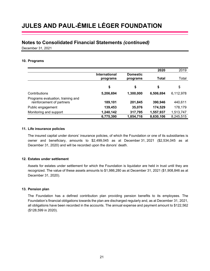### **Notes to Consolidated Financial Statements** *(continued)*

December 31, 2021

#### **10. Programs**

|                                                                |                                  |                             | 2020      | 2019      |
|----------------------------------------------------------------|----------------------------------|-----------------------------|-----------|-----------|
|                                                                | <b>International</b><br>programs | <b>Domestic</b><br>programs | Total     | Total     |
|                                                                | \$                               | \$                          | \$        | \$        |
| Contributions                                                  | 5,206,694                        | 1,300,000                   | 6,506,694 | 6,112,978 |
| Programs evaluation, training and<br>reinforcement of partners | 189,101                          | 201,845                     | 390,946   | 440,611   |
| Public engagement                                              | 139,453                          | 35,076                      | 174,529   | 178,179   |
| Monitoring and support                                         | 1,240,142                        | 317,795                     | 1,557,937 | 1,513,747 |
|                                                                | 6,775,390                        | 1,854,716                   | 8,630,106 | 8,245,515 |

#### **11. Life insurance policies**

The insured capital under donors' insurance policies, of which the Foundation or one of its subsidiaries is owner and beneficiary, amounts to \$2,499,045 as at December 31, 2021 (\$2,534,045 as at December 31, 2020) and will be recorded upon the donors' death.

### **12. Estates under settlement**

Assets for estates under settlement for which the Foundation is liquidator are held in trust until they are recognized. The value of these assets amounts to \$1,986,280 as at December 31, 2021 (\$1,908,846 as at December 31, 2020).

### **13. Pension plan**

The Foundation has a defined contribution plan providing pension benefits to its employees. The Foundation's financial obligations towards the plan are discharged regularly and, as at December 31, 2021, all obligations have been recorded in the accounts. The annual expense and payment amount to \$122,562 (\$128,599 in 2020).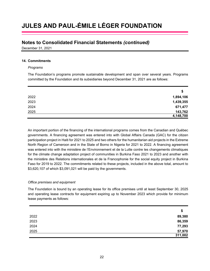### **Notes to Consolidated Financial Statements** *(continued)*

December 31, 2021

### **14. Commitments**

#### *Programs*

The Foundation's programs promote sustainable development and span over several years. Programs committed by the Foundation and its subsidiaries beyond December 31, 2021 are as follows:

|      | \$        |
|------|-----------|
| 2022 | 1,894,106 |
| 2023 | 1,439,355 |
| 2024 | 671,477   |
| 2025 | 143,762   |
|      | 4,148,700 |

An important portion of the financing of the international programs comes from the Canadian and Québec governments. A financing agreement was entered into with Global Affairs Canada (GAC) for the citizen participation project in Haiti for 2021 to 2025 and two others for the humanitarian aid projects in the Extreme North Region of Cameroon and in the State of Borno in Nigeria for 2021 to 2022. A financing agreement was entered into with the ministère de l'Environnement et de la Lutte contre les changements climatiques for the climate change adaptation project of communities in Burkina Faso 2021 to 2023 and another with the ministère des Relations internationales et de la Francophonie for the social equity project in Burkina Faso for 2019 to 2022. The commitments related to these projects, included in the above total, amount to \$3,620,107 of which \$3,091,021 will be paid by the governments.

### *Office premises and equipment*

The Foundation is bound by an operating lease for its office premises until at least September 30, 2025 and operating lease contracts for equipment expiring up to November 2023 which provide for minimum lease payments as follows:

|      | \$      |
|------|---------|
| 2022 | 89,380  |
| 2023 | 86,359  |
| 2024 | 77,293  |
| 2025 | 57,970  |
|      | 311,002 |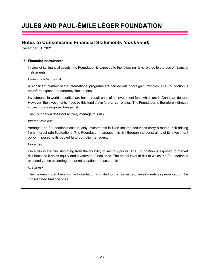## **Notes to Consolidated Financial Statements** *(continued)*

December 31, 2021

#### **15. Financial Instruments**

In view of its financial assets, the Foundation is exposed to the following risks related to the use of financial instruments:

#### *Foreign exchange risk*

A significant number of the international programs are carried out in foreign currencies. The Foundation is therefore exposed to currency fluctuations.

Investments in world securities are held through units of an investment fund which are in Canadian dollars. However, the investments made by this fund are in foreign currencies. The Foundation is therefore indirectly subject to a foreign exchange risk.

The Foundation does not actively manage this risk.

#### *Interest rate risk*

Amongst the Foundation's assets, only investments in fixed income securities carry a market risk arising from interest rate fluctuations. The Foundation manages this risk through the constraints of its investment policy imposed to its pooled fund portfolio managers.

#### *Price risk*

Price risk is the risk stemming from the volatility of security prices. The Foundation is exposed to market risk because it holds equity and investment funds units. The actual level of risk to which the Foundation is exposed varies according to market situation and asset mix.

#### *Credit risk*

The maximum credit risk for the Foundation is limited to the fair value of investments as presented on the consolidated balance sheet.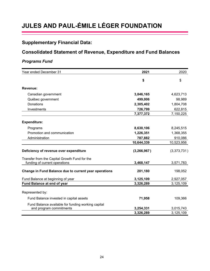## **Supplementary Financial Data:**

## **Consolidated Statement of Revenue, Expenditure and Fund Balances**

### *Programs Fund*

| Year ended December 31                                                         | 2021          | 2020        |
|--------------------------------------------------------------------------------|---------------|-------------|
|                                                                                | \$            | \$          |
| Revenue:                                                                       |               |             |
| Canadian government                                                            | 3,846,165     | 4,623,713   |
| Québec government                                                              | 499,006       | 98,989      |
| Donations                                                                      | 2,305,402     | 1,804,708   |
| Investments                                                                    | 726,799       | 622,815     |
|                                                                                | 7,377,372     | 7,150,225   |
| <b>Expenditure:</b>                                                            |               |             |
| Programs                                                                       | 8,630,106     | 8,245,515   |
| Promotion and communication                                                    | 1,226,351     | 1,368,355   |
| Administration                                                                 | 787,882       | 910,086     |
|                                                                                | 10,644,339    | 10,523,956  |
| Deficiency of revenue over expenditure                                         | (3, 266, 967) | (3,373,731) |
| Transfer from the Capital Growth Fund for the<br>funding of current operations | 3,468,147     | 3,571,783   |
| Change in Fund Balance due to current year operations                          | 201,180       | 198,052     |
| Fund Balance at beginning of year                                              | 3,125,109     | 2,927,057   |
| Fund Balance at end of year                                                    | 3,326,289     | 3,125,109   |
| Represented by:                                                                |               |             |
| Fund Balance invested in capital assets                                        | 71,958        | 109,366     |
| Fund Balance available for funding working capital<br>and program commitments  | 3,254,331     | 3,015,743   |
|                                                                                | 3,326,289     | 3,125,109   |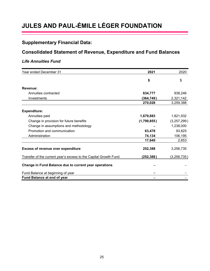## **Supplementary Financial Data:**

## **Consolidated Statement of Revenue, Expenditure and Fund Balances**

## *Life Annuities Fund*

| Year ended December 31                                           | 2021        | 2020          |
|------------------------------------------------------------------|-------------|---------------|
|                                                                  | \$          | \$            |
| Revenue:                                                         |             |               |
| Annuities contracted                                             | 634,777     | 938,246       |
| Investments                                                      | (364, 749)  | 2,321,142     |
|                                                                  | 270,028     | 3,259,388     |
| <b>Expenditure:</b>                                              |             |               |
| Annuities paid                                                   | 1,679,883   | 1,821,932     |
| Change in provision for future benefits                          | (1,799,855) | (3,257,299)   |
| Change in assumptions and methodology                            |             | 1,238,000     |
| Promotion and communication                                      | 63,478      | 93,825        |
| Administration                                                   | 74,134      | 106,195       |
|                                                                  | 17,640      | 2,653         |
| <b>Excess of revenue over expenditure</b>                        | 252,388     | 3,256,735     |
| Transfer of the current year's excess to the Capital Growth Fund | (252, 388)  | (3, 256, 735) |
| Change in Fund Balance due to current year operations            |             |               |
| Fund Balance at beginning of year                                |             |               |
| Fund Balance at end of year                                      |             |               |